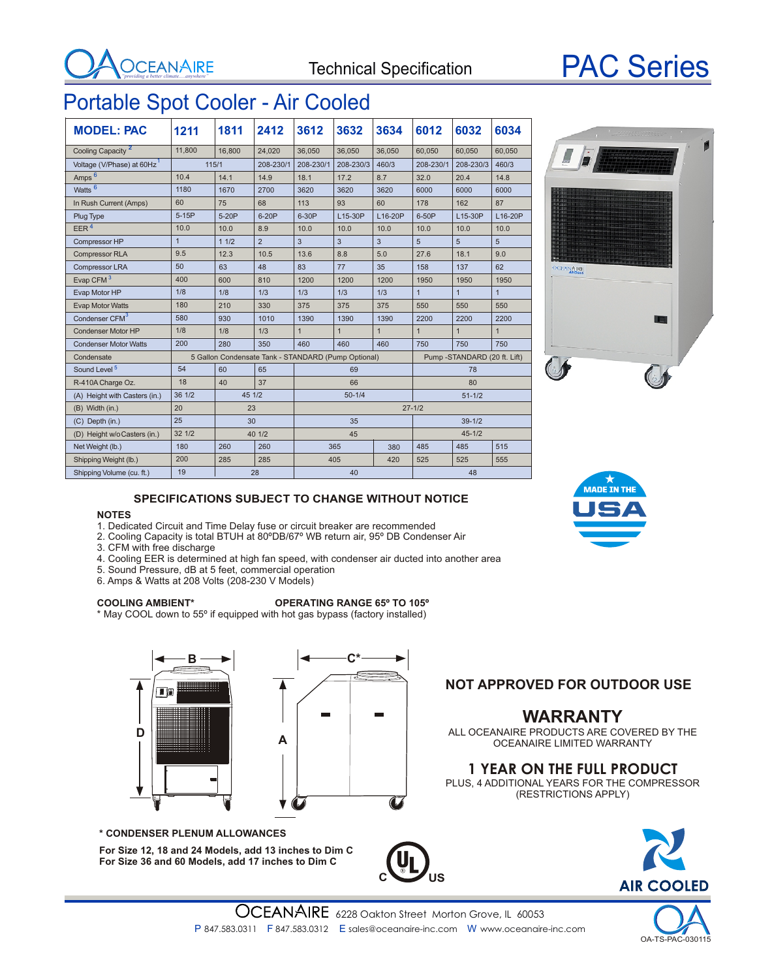



## Portable Spot Cooler - Air Cooled

| <b>MODEL: PAC</b>             | 1211                                                | 1811   | 2412           | 3612         | 3632         | 3634         | 6012                         | 6032           | 6034           |
|-------------------------------|-----------------------------------------------------|--------|----------------|--------------|--------------|--------------|------------------------------|----------------|----------------|
| Cooling Capacity <sup>2</sup> | 11,800                                              | 16,800 | 24.020         | 36,050       | 36,050       | 36,050       | 60,050                       | 60,050         | 60,050         |
| Voltage (V/Phase) at 60Hz     | 115/1                                               |        | 208-230/1      | 208-230/1    | 208-230/3    | 460/3        | 208-230/1                    | 208-230/3      | 460/3          |
| Amps <sup>6</sup>             | 10.4                                                | 14.1   | 14.9           | 18.1         | 17.2         | 8.7          | 32.0                         | 20.4           | 14.8           |
| Watts <sup>6</sup>            | 1180                                                | 1670   | 2700           | 3620         | 3620         | 3620         | 6000                         | 6000           | 6000           |
| In Rush Current (Amps)        | 60                                                  | 75     | 68             | 113          | 93           | 60           | 178                          | 162            | 87             |
| Plug Type                     | $5-15P$                                             | 5-20P  | 6-20P          | 6-30P        | L15-30P      | L16-20P      | 6-50P                        | L15-30P        | L16-20P        |
| EER <sup>4</sup>              | 10.0                                                | 10.0   | 8.9            | 10.0         | 10.0         | 10.0         | 10.0                         | 10.0           | 10.0           |
| Compressor HP                 | $\overline{1}$                                      | 11/2   | $\overline{2}$ | 3            | 3            | 3            | 5                            | 5              | 5              |
| <b>Compressor RLA</b>         | 9.5                                                 | 12.3   | 10.5           | 13.6         | 8.8          | 5.0          | 27.6                         | 18.1           | 9.0            |
| Compressor LRA                | 50                                                  | 63     | 48             | 83           | 77           | 35           | 158                          | 137            | 62             |
| Evap CFM <sup>3</sup>         | 400                                                 | 600    | 810            | 1200         | 1200         | 1200         | 1950                         | 1950           | 1950           |
| Evap Motor HP                 | 1/8                                                 | 1/8    | 1/3            | 1/3          | 1/3          | 1/3          | $\overline{1}$               | $\overline{1}$ | $\overline{1}$ |
| <b>Evap Motor Watts</b>       | 180                                                 | 210    | 330            | 375          | 375          | 375          | 550                          | 550            | 550            |
| Condenser CFM <sup>3</sup>    | 580                                                 | 930    | 1010           | 1390         | 1390         | 1390         | 2200                         | 2200           | 2200           |
| <b>Condenser Motor HP</b>     | 1/8                                                 | 1/8    | 1/3            | $\mathbf{1}$ | $\mathbf{1}$ | $\mathbf{1}$ | $\mathbf{1}$                 | $\mathbf{1}$   | $\mathbf{1}$   |
| <b>Condenser Motor Watts</b>  | 200                                                 | 280    | 350            | 460          | 460          | 460          | 750                          | 750            | 750            |
| Condensate                    | 5 Gallon Condensate Tank - STANDARD (Pump Optional) |        |                |              |              |              | Pump -STANDARD (20 ft. Lift) |                |                |
| Sound Level <sup>5</sup>      | 54                                                  | 60     | 65             | 69<br>78     |              |              |                              |                |                |
| R-410A Charge Oz.             | 18                                                  | 40     | 37             | 66           |              |              | 80                           |                |                |
| (A) Height with Casters (in.) | 36 1/2                                              | 45 1/2 |                | $50 - 1/4$   |              |              | $51 - 1/2$                   |                |                |
| (B) Width (in.)               | 20                                                  | 23     |                | $27 - 1/2$   |              |              |                              |                |                |
| (C) Depth (in.)               | 25                                                  | 30     |                | 35           |              |              | $39 - 1/2$                   |                |                |
| (D) Height w/o Casters (in.)  | 32 1/2                                              | 40 1/2 |                | 45           |              |              | $45 - 1/2$                   |                |                |
| Net Weight (lb.)              | 180                                                 | 260    | 260            |              | 365          | 380          | 485                          | 485            | 515            |
| Shipping Weight (lb.)         | 200                                                 | 285    | 285            |              | 405          | 420          | 525                          | 525            | 555            |
| Shipping Volume (cu. ft.)     | 19                                                  |        | 28             | 40           |              |              | 48                           |                |                |



#### **SPECIFICATIONS SUBJECT TO CHANGE WITHOUT NOTICE**

#### **NOTES**

- 1. Dedicated Circuit and Time Delay fuse or circuit breaker are recommended
- 2. Cooling Capacity is total BTUH at 80ºDB/67º WB return air, 95º DB Condenser Air
- 3. CFM with free discharge
- 4. Cooling EER is determined at high fan speed, with condenser air ducted into another area
- 5. Sound Pressure, dB at 5 feet, commercial operation
- 6. Amps & Watts at 208 Volts (208-230 V Models)

#### **COOLING AMBIENT\* OPERATING RANGE 65º TO 105º**

\* May COOL down to 55º if equipped with hot gas bypass (factory installed)





#### **\* CONDENSER PLENUM ALLOWANCES**

**For Size 12, 18 and 24 Models, add 13 inches to Dim C For Size 36 and 60 Models, add 17 inches to Dim C**



OCEANAIRE LIMITED WARRANTY

**NOT APPROVED FOR OUTDOOR USE** 

### **1 YEAR ON THE FULL PRODUCT**

PLUS, 4 ADDITIONAL YEARS FOR THE COMPRESSOR (RESTRICTIONS APPLY)



**C US**